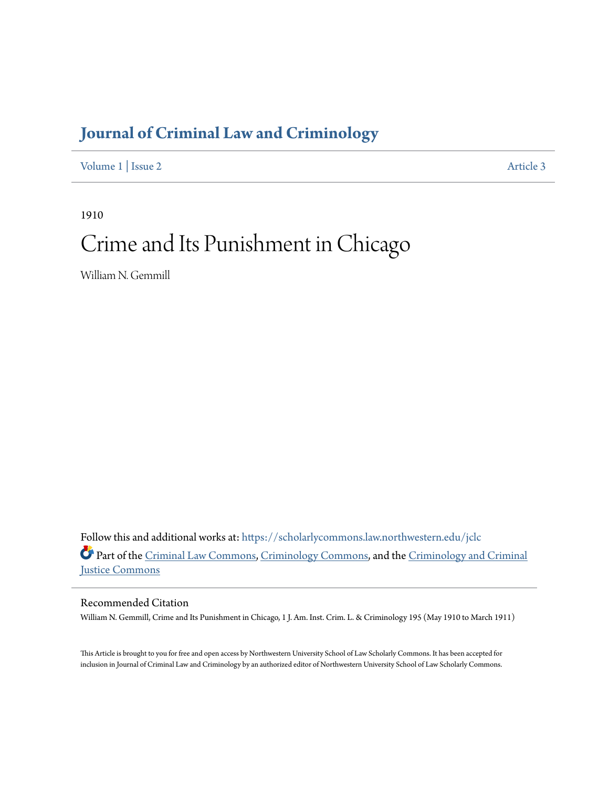## **[Journal of Criminal Law and Criminology](https://scholarlycommons.law.northwestern.edu/jclc?utm_source=scholarlycommons.law.northwestern.edu%2Fjclc%2Fvol1%2Fiss2%2F3&utm_medium=PDF&utm_campaign=PDFCoverPages)**

[Volume 1](https://scholarlycommons.law.northwestern.edu/jclc/vol1?utm_source=scholarlycommons.law.northwestern.edu%2Fjclc%2Fvol1%2Fiss2%2F3&utm_medium=PDF&utm_campaign=PDFCoverPages) | [Issue 2](https://scholarlycommons.law.northwestern.edu/jclc/vol1/iss2?utm_source=scholarlycommons.law.northwestern.edu%2Fjclc%2Fvol1%2Fiss2%2F3&utm_medium=PDF&utm_campaign=PDFCoverPages) [Article 3](https://scholarlycommons.law.northwestern.edu/jclc/vol1/iss2/3?utm_source=scholarlycommons.law.northwestern.edu%2Fjclc%2Fvol1%2Fiss2%2F3&utm_medium=PDF&utm_campaign=PDFCoverPages)

1910

# Crime and Its Punishment in Chicago

William N. Gemmill

Follow this and additional works at: [https://scholarlycommons.law.northwestern.edu/jclc](https://scholarlycommons.law.northwestern.edu/jclc?utm_source=scholarlycommons.law.northwestern.edu%2Fjclc%2Fvol1%2Fiss2%2F3&utm_medium=PDF&utm_campaign=PDFCoverPages) Part of the [Criminal Law Commons](http://network.bepress.com/hgg/discipline/912?utm_source=scholarlycommons.law.northwestern.edu%2Fjclc%2Fvol1%2Fiss2%2F3&utm_medium=PDF&utm_campaign=PDFCoverPages), [Criminology Commons](http://network.bepress.com/hgg/discipline/417?utm_source=scholarlycommons.law.northwestern.edu%2Fjclc%2Fvol1%2Fiss2%2F3&utm_medium=PDF&utm_campaign=PDFCoverPages), and the [Criminology and Criminal](http://network.bepress.com/hgg/discipline/367?utm_source=scholarlycommons.law.northwestern.edu%2Fjclc%2Fvol1%2Fiss2%2F3&utm_medium=PDF&utm_campaign=PDFCoverPages) [Justice Commons](http://network.bepress.com/hgg/discipline/367?utm_source=scholarlycommons.law.northwestern.edu%2Fjclc%2Fvol1%2Fiss2%2F3&utm_medium=PDF&utm_campaign=PDFCoverPages)

Recommended Citation

William N. Gemmill, Crime and Its Punishment in Chicago, 1 J. Am. Inst. Crim. L. & Criminology 195 (May 1910 to March 1911)

This Article is brought to you for free and open access by Northwestern University School of Law Scholarly Commons. It has been accepted for inclusion in Journal of Criminal Law and Criminology by an authorized editor of Northwestern University School of Law Scholarly Commons.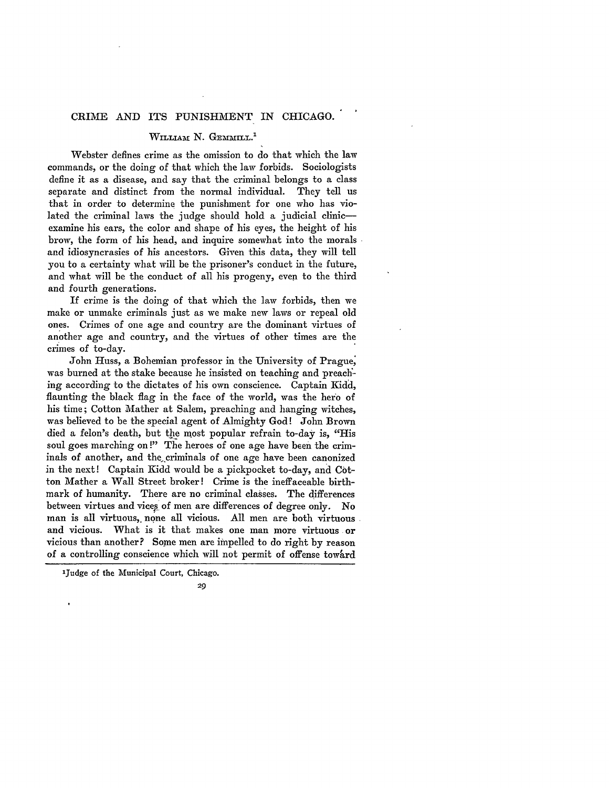### CRIME AND ITS PUNISHMENT IN CHICAGO.

#### WILLIAm N. **GEmmILL. <sup>1</sup>**

Webster defines crime as the omission to do that which the law commands, or the doing of that which the law forbids. Sociologists define it as a disease, and say that the criminal belongs to a class separate and distinct from the normal individual. They tell us that in order to determine the punishment for one who has violated the criminal laws the judge should hold a judicial clinicexamine his ears, the color and shape of his eyes, the height of his brow, the form of his head, and inquire somewhat into the morals and idiosyncrasies of his ancestors. Given this data, they will tell you to a certainty what will be the prisoner's conduct in the future, and what will **he** the conduct of all his progeny, even to the third and fourth generations.

If crime is the doing of that which the law forbids, then we make or unmake criminals just as we make new laws or repeal old ones. Crimes of one age and country are the dominant virtues of another age and country, and the virtues of other times are the crimes of to-day.

John Huss, a Bohemian professor in the University of Prague, was burned at the stake because he insisted on teaching and preaching according to the dictates of his own conscience. Captain Kidd, flaunting the black flag in the face of the world, was the hero of his time; Cotton Mather at Salem, preaching and hanging witches, was believed to be the special agent of Almighty God! John Brown died a felon's death, but the most popular refrain to-day is, "His soul goes marching on!" The heroes of one age have been the criminals of another, and the criminals of one age have been canonized in the next! Captain Kidd would be a pickpocket to-day, and Cotton Mather a Wall Street broker! Crime is the ineffaceable birthmark of humanity. There are no criminal classes. The differences between virtues and vices of men are differences of degree only. No man is all virtuous, none all vicious. All men are both virtuous and vicious. What is it that makes one man more virtuous or vicious than another? Some men are impelled to do right by reason of a controlling conscience which will not permit of offense toward

'Judge of the Municipal Court, Chicago.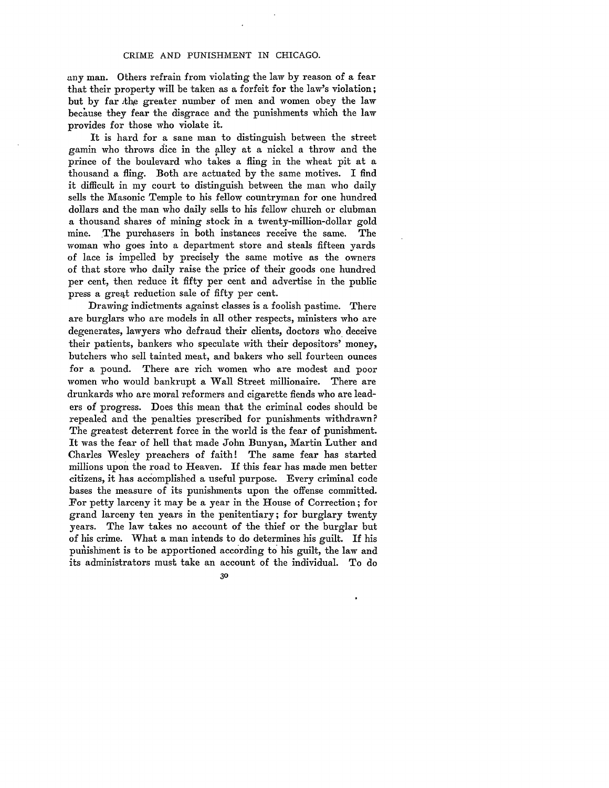#### CRIME AND PUNISHMENT IN CHICAGO.

any man. Others refrain from violating the law **by** reason of a fear that their property will be taken as a forfeit for the law's violation; but by far the greater number of men and women obey the law because they fear the disgrace and the punishments which the law provides for those who violate it.

It is hard for a sane man to distinguish between the street gamin who throws dice in the alley at a nickel a throw and the prince of the boulevard who takes a fling in the wheat pit at a thousand a fling. Both are actuated by the same motives. I find it difficult in my court to distinguish between the man who daily sells the Masonic Temple to his fellow countryman for one hundred dollars and the man who daily sells to his fellow church or clubman a thousand shares of mining stock in a twenty-million-dollar gold mine. The purchasers in both instances receive the same. The woman who goes into a department store and steals fifteen yards of lace is impelled by precisely the same motive as the owners of that store who daily raise the price of their goods one hundred per cent, then reduce it fifty per cent and advertise in the public press a greqt reduction sale of fifty per cent.

Drawing indictments against classes is a foolish pastime. There are burglars who are models in all other respects, ministers who are degenerates, lawyers who defraud their clients, doctors who deceive their patients, bankers who speculate with their depositors' money, butchers who sell tainted meat, and bakers who sell fourteen ounces for a pound. There are rich women who are modest and poor women who would bankrupt a Wall Street millionaire. There are drunkards who are moral reformers and cigarette fiends who are leaders of progress. Does this mean that the criminal codes should be repealed and the penalties prescribed for punishments withdrawn? The greatest deterrent force in the world is the fear of punishment. It was the fear of hell that made John Bunyan, Martin Luther and Charles Wesley preachers of faith! The same fear has started millions upon the road to Heaven. If this fear has made men better citizens, it has accomplished a useful purpose. Every criminal code bases the measure of its punishments upon the offense committed. For petty larceny it may be a year in the House of Correction; for grand larceny ten years in the penitentiary; for burglary twenty years. The law takes no account of the thief or the burglar but of his crime. What a man intends to do determines his guilt. If his punishment is to be apportioned according to his guilt, the law and its administrators must take an account of the individual. To do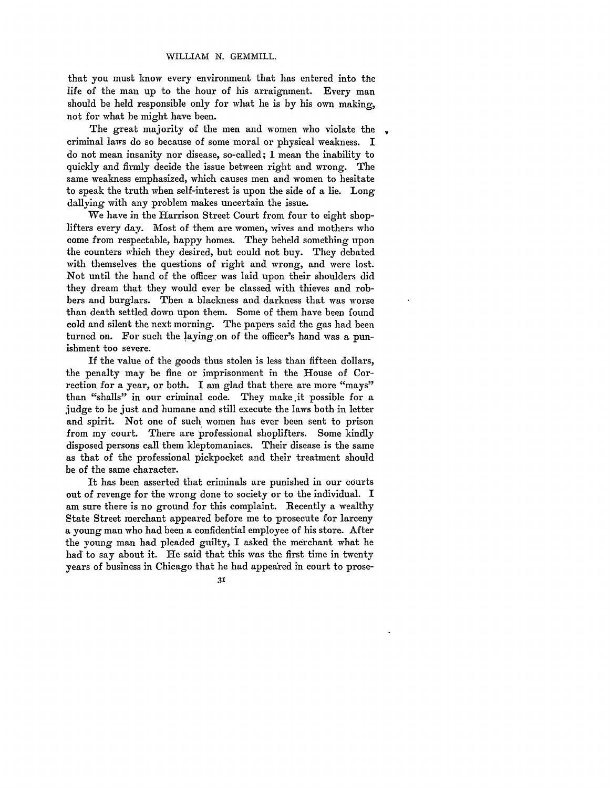that you must know every environment that has entered into the life of the man up to the hour of his arraignment. Every man should be held responsible only for what he is by his own making, not for what he might have been.

The great majority of the men and women who violate the , criminal laws do so because of some moral or physical weakness. I do not mean insanity nor disease, so-called; I mean the inability to quickly and firmly decide the issue between right and wrong. The same weakness emphasized, which causes men and women to hesitate to speak the truth when self-interest is upon the side of a lie. Long dallying with any problem makes uncertain the issue.

We have in the Harrison Street Court from four to eight shoplifters every day. Most of them are women, wives and mothers who come from respectable, happy homes. They beheld something upon the counters which they desired, but could not buy. They debated with themselves the questions of right and wrong, and were lost. Not until the hand of the officer was laid upon their shoulders did they dream that they would ever be classed with thieves and robbers and burglars. Then a blackness and darkness that was worse than death settled down upon them. Some of them have been found cold and silent the next morning. The papers said the gas had been turned on. For such the laying on of the officer's hand was a punishment too severe.

If the value of the goods thus stolen is less than fifteen dollars, the penalty may be fine or imprisonment in the House of Correction for a year, or both. I am glad that there are more "mays" than "shalls" in our criminal code. They make.it possible for a judge to be just and humane and still execute the laws both in letter and spirit. Not one of such women has ever been sent to prison from my court. There are professional shoplifters. Some kindly disposed persons call them kleptomaniacs. Their disease is the same as that of the professional pickpocket and their treatment should be of the same character.

It has been asserted that criminals are punished in our courts out of revenge for the wrong done to society or to the individual. I am sure there is no ground for this complaint. Recently a wealthy State Street merchant appeared before me to prosecute for larceny a young man who had been a confidential employee of his store. After the young man had pleaded guilty, I asked the merchant what he had to say about it. He said that this was the first time in twenty years of business in Chicago that he had appeared in court to prose-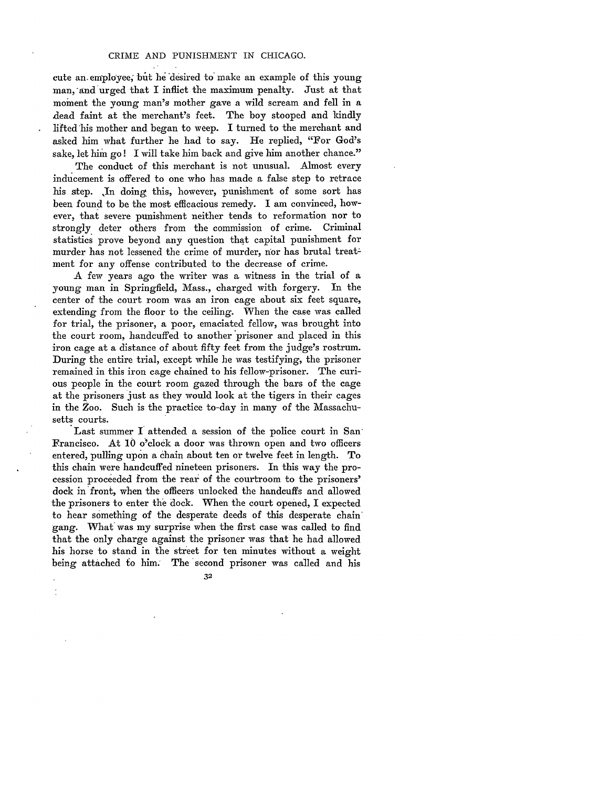cute an employee, but he desired to make an example of this young man, and urged that I inflict the maximum penalty. Just at that moment the young man's mother gave a wild scream and fell in a dead faint at the merchant's feet. The boy stooped and kindly lifted'his mother and began to weep. I turned to the merchant and asked him what further he had to say. He replied, "For God's sake, let him go! I will take him back and give him another chance."

The conduct of this merchant is not unusual. Almost every inducement is offered to one who has made a false step to retrace his step. ,In doing this, however, punishment of some sort has been found to be the most efficacious remedy. I am convinced, however, that severe punishment neither tends to reformation nor to strongly deter others from the commission of crime. Criminal statistics prove beyond any question that capital punishment for murder has not lessened the crime of murder, nor has brutal treatment for any offense contributed to the decrease of crime.

A few years ago the writer was a witness in the trial of a young man in Springfield, Mass., charged with forgery. In the center of the court room was an iron cage about six feet square, extending from the floor to the ceiling. When the case was called for trial, the prisoner, a poor, emaciated fellow, was brought into the court room, handcuffed to another prisoner and placed in this iron cage at a distance of about fifty feet from the judge's rostrum. During the entire trial, except while he was testifying, the prisoner remained in this iron cage chained to his fellow-prisoner. The curious people in the court room gazed through the bars of the cage at the prisoners just as they would look at the tigers in their cages in the Zoo. Such is the practice to-day in many of the Massachusetts courts.

Last summer I attended a session of the police court in San Francisco. At 10 o'clock a door was thrown open and two officers entered, pulling upon a chain about ten or twelve feet in length. To this chain were handcuffed nineteen prisoners. In this way the procession proceeded from the rear of the courtroom to the prisoners' dock in'front, when the officers unlocked the handcuffs and allowed the prisoners to enter the dock. When the court opened, I expected to hear something of the desperate deeds of this desperate chain\* gang. What was my surprise when the first case was called to find that the only charge against the prisoner was that he had allowed his horse to stand in the street for ten minutes without a weight being attached to him. The second prisoner was called and his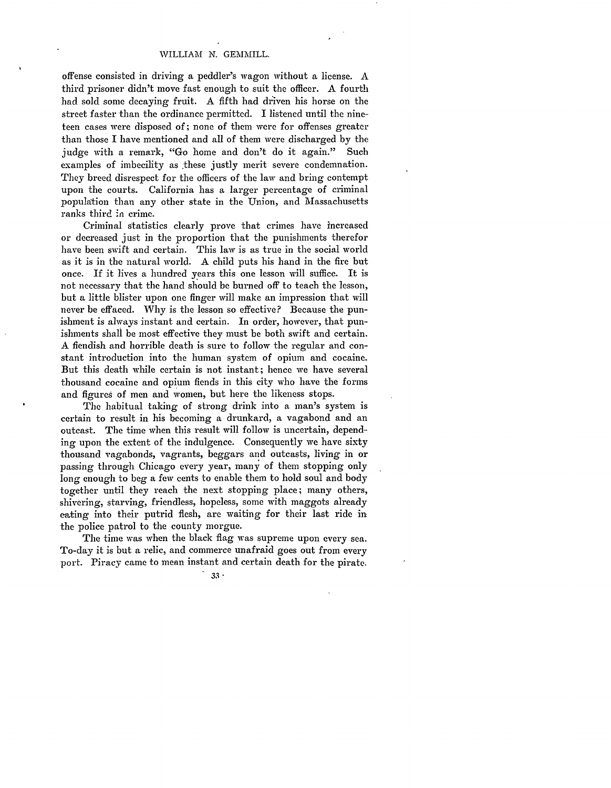offense consisted in driving a peddler's wagon without a license. A third prisoner didn't move fast enough to suit the officer. A fourth had sold some decaying fruit. A fifth had driven his horse on the street faster than the ordinance permitted. I listened until the nineteen cases were disposed of; none of them were for offenses greater than those I have mentioned and all of them were discharged by the judge with a remark, "Go home and don't do it again." Such examples of imbecility as these justly merit severe condemnation. They breed disrespect for the officers of the law and bring contempt upon the courts. California has a larger percentage of criminal population than any other state in the Union, and Massachusetts ranks third in crime.

Criminal statistics clearly prove that crimes have increased or decreased just in the proportion that the punishments therefor have been swift and certain. This law is as true in the social world as it is in the natural world. A child puts his hand in the fire but once. If it lives a hundred years this one lesson will suffice. It is not necessary that the hand should be burned off to teach the lesson, but a little blister upon one finger will make an impression that will never be effaced. Why is the lesson so effective? Because the punishment is always instant and certain. In order, however, that punishments shall be most effective they must be both swift and certain. A fiendish and horrible death is sure to follow the regular and constant introduction into the human system of opium and cocaine. But this death while certain is not instant; hence we have several thousand cocaine and opium fiends in this city who have the forms and figures of men and women, but here the likeness stops.

The habitual taking of strong drink into a man's system is certain to result in his becoming a drunkard, a vagabond and an outcast. The time when this result will follow is uncertain, depending upon the extent of the indulgence. Consequently we have sixty thousand vagabonds, vagrants, beggars and outcasts, living in or passing through Chicago every year, many of them stopping only long enough to beg a few cents to enable them to hold soul and body together until they reach the next stopping place; many others, shivering, starving, friendless, hopeless, some with maggots already eating into their putrid flesh, are waiting for their last ride in the police patrol to the county morgue.

The time was when the black flag was supreme upon every sea. To-day it is but a relic, and commerce unafraid goes out from every port. Piracy came to mean instant and certain death for the pirate.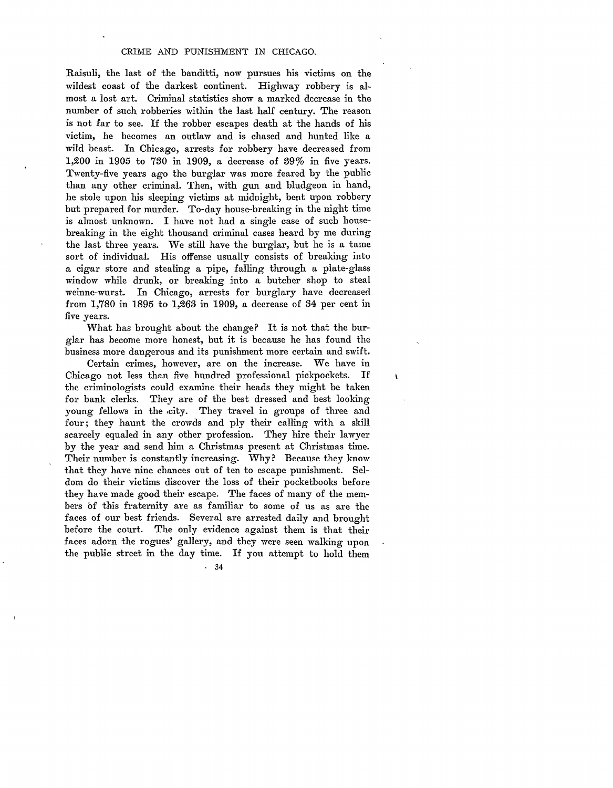Raisuli, the last of the banditti, now pursues his victims on the wildest coast of the darkest continent. Highway robbery is almost a lost art. Criminal statistics show a marked decrease in the number of such robberies within the last half century. The reason is not far to see. If the robber escapes death at the hands of his victim, he becomes an outlaw and is chased and hunted like a wild beast. In Chicago, arrests for robbery have decreased from 1,200 in 1905 to **730** in 1909, a decrease of 39% in five years. Twenty-five years ago the burglar was more feared by the public than any other criminal. Then, with gun and bludgeon in hand, he stole upon his sleeping victims at midnight, bent upon robbery but prepared for murder. To-day house-breaking in the night time is almost unknown. I have not had a single case of sueb housebreaking in the eight thousand criminal cases heard by me during the last three years. We still have the burglar, but he is a tame sort of individual. His offense usually consists of breaking into a cigar store and stealing a pipe, falling through a plate-glass window while drunk, or breaking into a butcher shop to steal weinne-wurst. In Chicago, arrests for burglary have decreased from 1,780 in 1895 to **1,263** in 1909, a decrease of **34** per cent in five years.

What has brought about the change? It is not that the burglar has become more honest, but it is because he has found the business more dangerous and its punishment more certain and swift.

À

Certain crimes, however, are on the increase. We have in Chicago not less than five hundred professional pickpockets. If the criminologists could examine their heads they might be taken for bank clerks. They are of the best dressed and best looking young fellows in the city. They travel in groups of three and four; they haunt the crowds and ply their calling with a skill scarcely equaled in any other profession. They hire their lawyer by the year and send him a Christmas present at Christmas time. Their number is constantly increasing. Why? Because they know that they have nine chances out of ten to escape punishment. Seldom do their victims discover the loss of their pocketbooks before they have made good their escape. The faces of many of the members of this fraternity are as familiar to some of us as are the faces of our best friends. Several are arrested daily and brought before the court. The only evidence against them is that their faces adorn the rogues' gallery, and they were seen walking upon the public street in the day time. If you attempt to hold them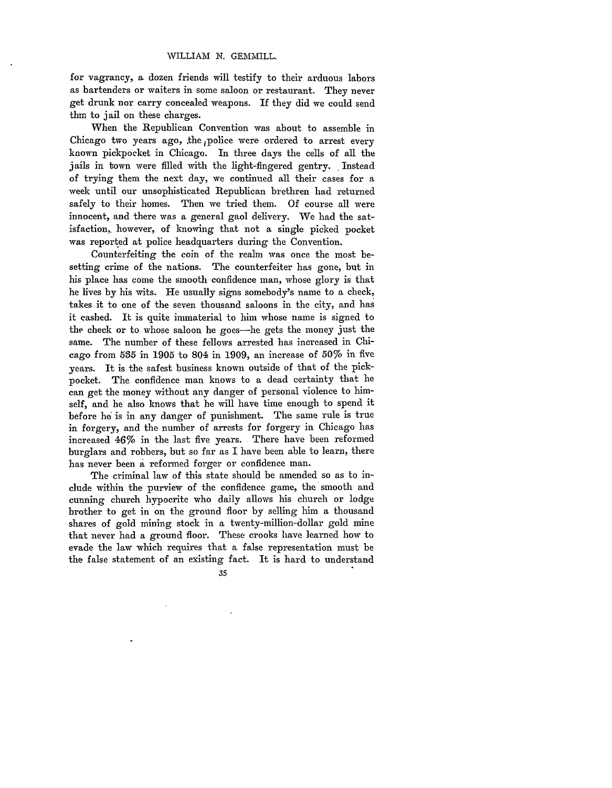for vagrancy, a dozen friends will testify to their arduous labors as bartenders or waiters in some saloon or restaurant. They never get drunk nor carry concealed weapons. If they did we could send thm to jail on these charges.

When the Republican Convention was about to assemble in Chicago two years ago, the police were ordered to arrest every known pickpocket in Chicago. In three days the cells of all the jails in town were filled with the light-fingered gentry. **,** Instead of trying them the next day, we continued all their cases for a week until our unsophisticated Republican brethren had returned safely to their homes. Then we tried them. Of course all were innocent, and there was a general gaol delivery. We had the satisfaction, however, of knowing that not a single picked pocket was reported at police headquarters during the Convention.

Counterfeiting the coin of the realm was once the most besetting crime of the nations. The counterfeiter has gone, but in his place has come the smooth confidence man, whose glory is that he lives by his wits. He usually signs somebody's name to a check, takes it to one of the seven thousand saloons in the city, and has it cashed. It is quite immaterial to him whose name is signed to the check or to whose saloon he goes-he gets the money just the same. The number of these fellows arrested has increased in Chicago from **535** in 1905 to 804 in 1909, an increase of 50% in five years. It is the safest business known outside of that of the pickpocket. The confidence man knows to a dead certainty that he can get the money without any danger of personal violence to himself, and he also knows that he will have time enough to spend it before he is in any danger of punishment. The same rule is true in forgery, and the number of arrests for forgery in Chicago has increased 46% in the last five years. There have been reformed burglars and robbers, but so far as I have been able to learn, there has never been a' reformed forger or confidence man.

The criminal law of this state should be amended so as to include within the purview of the confidence game, the smooth and cunning church hypocrite who daily allows his church or lodge brother to get in on the ground floor by selling him a thousand shares of gold mining stock in a twenty-million-dollar gold mine that never had a ground floor. These crooks have learned how to evade the law which requires that a false representation must be the false statement of an existing fact. It is hard to understand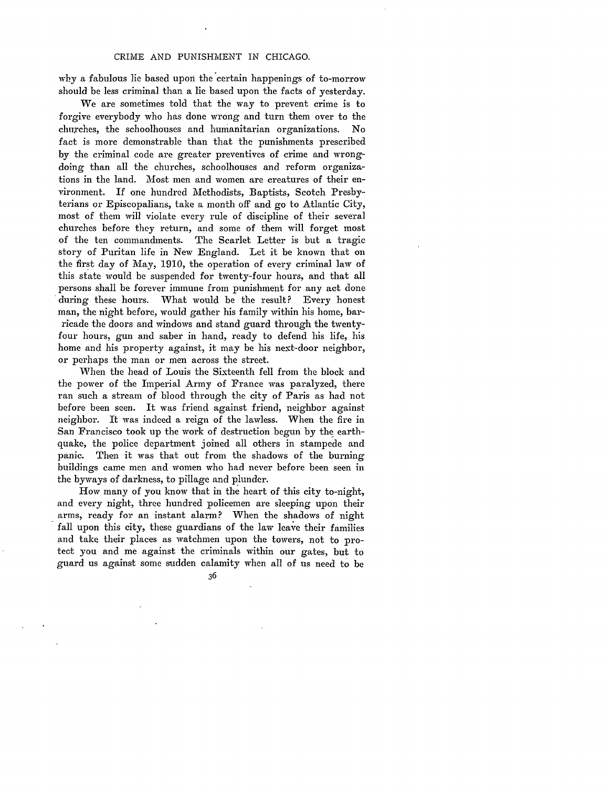#### CRIME AND PUNISHMENT IN CHICAGO.

why a fabulous lie based upon the certain happenings of to-morrow should be less criminal than a lie based upon the facts of yesterday.

We are sometimes told that the way to prevent crime is to forgive everybody who has done wrong and turn them over to the churches, the schoolhouses and humanitarian organizations. No fact is more demonstrable than that the punishments prescribed by the criminal code are greater preventives of crime and wrongdoing than all the churches, schoolhouses and reform organizations in the land. Most men and women are creatures of their environment. If one hundred Methodists, Baptists, Scotch Presbyterians or Episcopalians, take a month off and go to Atlantic City, most of them will violate every rule of discipline of their several churches before they return, and some of them will forget most of the ten commandments. The Scarlet Letter is but a tragic story of Puritan life in New England. Let it be known that on the first day of May, 1910, the operation of every criminal law of this state would be suspended for twenty-four hours, and that all persons shall be forever immune from punishment for any act done during these hours. What would be the result? Every honest man, the night before, would gather his family within his home, barricade the doors and windows and stand guard through the twentyfour hours, gun and saber in hand, ready to defend his life, his home and his property against, it may be his next-door neighbor, or perhaps the man or men across the street.

When the head of Louis the Sixteenth fell from the block and the power of the Imperial Army of France was paralyzed, there ran such a stream of blood through the city of Paris as had not before been seen. It was friend against friend, neighbor against neighbor. It was indeed a reign of the lawless. When the fire in San Francisco took up the work of destruction begun by the earthquake, the police department joined all others in stampede and panic. Then it was that out from the shadows of the burning buildings came men and women who had never before been seen in the byways of darkness, to pillage and plunder.

How many of you know that in the heart of this city to-night, and every night, three hundred policemen are sleeping upon their arms, ready for an instant alarm? When the shadows of night fall upon this city, these guardians of the law leave their families and take their places as watchmen upon the towers, not to protect you and me against the criminals within our gates, but to guard us against some sudden calamity when all of us need to be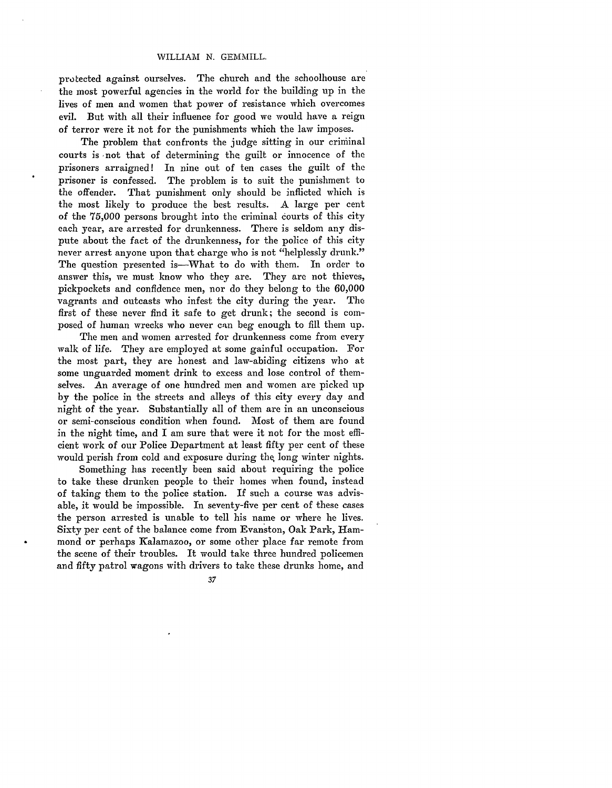#### WILLIAM N. GEMMILL.

protected against ourselves. The church and the schoolhouse are the most powerful agencies in the world for the building up in the lives of men and women that power of resistance which overcomes evil. But with all their influence for good we would have a reign of terror were it not for the punishments which the law imposes.

The problem that confronts the judge sitting in our criminal courts is .not that of determining the guilt or innocence of the prisoners arraigned! In nine out of ten cases the guilt of the prisoner is confessed. The problem is to suit the punishment to the offender. That punishment only should be inflicted which is the most likely to produce the best results. A large per cent of the 75,000 persons brought into the criminal courts of this city each year, are arrested for drunkenness. There is seldom any dispute about the fact of the drunkenness, for the police of this city never arrest anyone upon that charge who is not "helplessly drunk." The question presented is-What to do with them. In order to answer this, we must know who they are. They are not thieves, pickpockets and confidence men, nor do they belong to the 60,000 vagrants and outcasts who infest the city during the year. The first of these never find it safe to get drunk; the second is composed of human wrecks who never can beg enough to fill them up.

The men and women arrested for drunkenness come from every walk of life. They are employed at some gainful occupation. For the most part, they are honest and law-abiding citizens who at some unguarded moment drink to excess and lose control of themselves. An average of one hundred men and women are picked up by the police in the streets and alleys of this city every day and night of the year. Substantially all of them are in an unconscious or semi-conscious condition when found. Most of them are found in the night time, and I am sure that were it not for the most efficient work of our Police Department at least fifty per cent of these would perish from cold and exposure during the, long winter nights.

Something has recently been said about requiring the police to take these drunken people to their homes when found, instead of taking them to the police station. If such a course was advisable, it would be impossible. In seventy-five per cent of these cases the person arrested is unable to tell his name or where he lives. Sixty per cent of the balance come from Evanston, Oak Park, Hammond or perhaps Kalamazoo, or some other place far remote from the scene of their troubles. It would take three hundred policemen and fifty patrol wagons with drivers to take these drunks home, and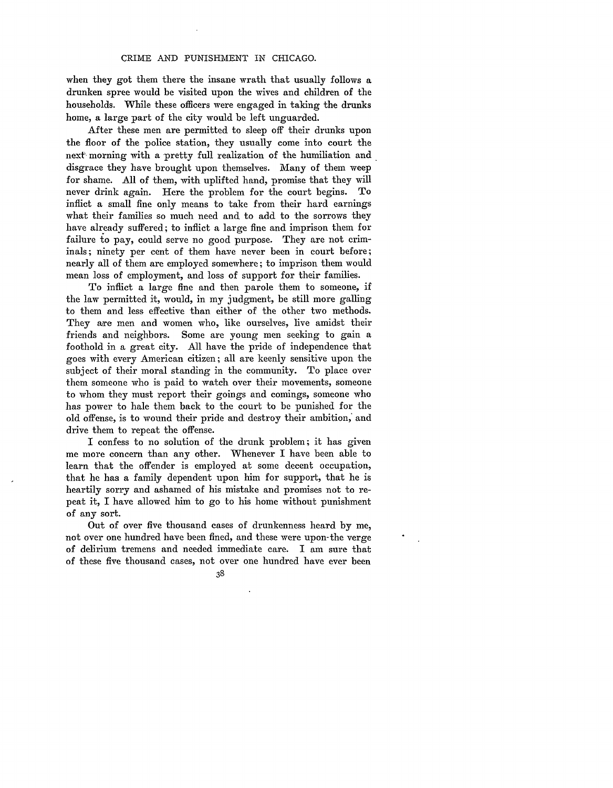#### CRIME AND PUNISHMENT IN CHICAGO.

when they got them there the insane wrath that usually follows a drunken spree would be visited upon the wives and children of the households. While these officers were engaged in taking the drunks home, a large part of the city would be left unguarded.

After these men are permitted to sleep off their drunks upon the floor of the police station, they usually come into court the next morning with a pretty full realization of the humiliation and disgrace they have brought upon themselves. Many of them weep for shame. All of them, with uplifted hand, promise that they will never drink again. Here the problem for the court begins. To inflict a small fine only means to take from their hard earnings what their families so much need and to add to the sorrows they have already suffered; to inflict a large fine and imprison them for failure to pay, could serve no good purpose. They are not criminals; ninety per cent of them have never been in court before; nearly all of them are employed somewhere; to imprison them would mean loss of employment, and loss of support for their families.

To inflict a large fine and then parole them to someone, if the law permitted it, would, in my judgment, be still more galling to them and less effective than either of the other two methods. They are men and women who, like ourselves, live amidst their friends and neighbors. Some are young men seeking to gain a foothold in a great city. All have the pride of independence that goes with every American citizen; all are keenly sensitive upon the subject of their moral standing in the community. To place over them someone who is paid to watch over their movements, someone to whom they must report their goings and comings, someone who has power to hale them back to the court to be punished for the old offense, is to wound their pride and destroy their ambition, and drive them to repeat the offense.

I confess to no solution of the drunk problem; it has given me more concern than any other. Whenever I have been able to learn that the offender is employed at some decent occupation, that he has a family dependent upon him for support, that he is heartily sorry and ashamed of his mistake and promises not to repeat it, I have allowed him to go to his home without punishment of any sort.

Out of over five thousand cases of drunkenness heard by me, not over one hundred have been fined, and these were upon-the verge of delirium tremens and needed immediate care. I am sure that of these five thousand cases, not over one hundred have ever been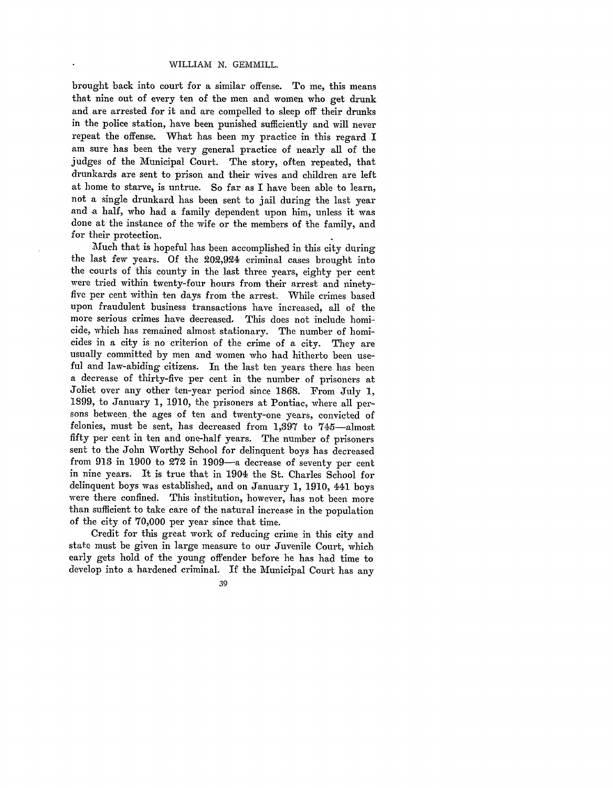brought back into court for a similar offense. To me, this means that nine out of every ten of the men and women who get drunk and are arrested for it and are compelled to sleep off their drunks in the police station, have been punished sufficiently and will never repeat the offense. What has been my practice in this regard I am sure has been the very general practice of nearly all of the judges of the Municipal Court. The story, often repeated, that drunkards are sent to prison and their wives and children are left at home to starve, is untrue. So far as I have been able to learn, not a single drunkard has been sent to jail during the last year and a half, who had a family dependent upon him, unless it was done at the instance of the wife or the members of the family, and for their protection.

AMuch that is hopeful has been accomplished in this city during the last few years. Of the 202,924 criminal cases brought into the courts of this county in the last three years, eighty per cent were tried within twenty-four hours from their arrest and ninetyfive per cent within ten days from the arrest. While crimes based upon fraudulent business transactions have increased, all of the more serious crimes have decreased. This does not include homicide, which has remained almost stationary. The number of homicides in a city is no criterion of the crime of a city. They are usually committed by men and women who had hitherto been useful and law-abiding citizens. In the last ten years there has been a decrease of thirty-five per cent in the number of prisoners at Joliet over any other ten-year period since 1868. From July 1, 1899, to January **1,** 1910, the prisoners at Pontiac, where all persons between, the ages of ten and twenty-one years, convicted of felonies, must be sent, has decreased from **1,397** to 745-almost fifty per cent in ten and one-half years. The number of prisoners sent to the John Worthy School for delinquent boys has decreased from 913 in 1900 to **272** in 1909-a decrease of seventy per cent in nine years. It is true that in 1904 the St. Charles School for delinquent boys was established, and on January **1,** 1910, 441 boys were there confined. This institution, however, has not been more than sufficient to take care of the natural increase in the population of the city of 70,000 per year since that time.

Credit for this great work of reducing crime in this city and state must be given in large measure to our Juvenile Court, which early gets hold of the young offender before he has had time to develop into a hardened criminal. If the Municipal Court has any